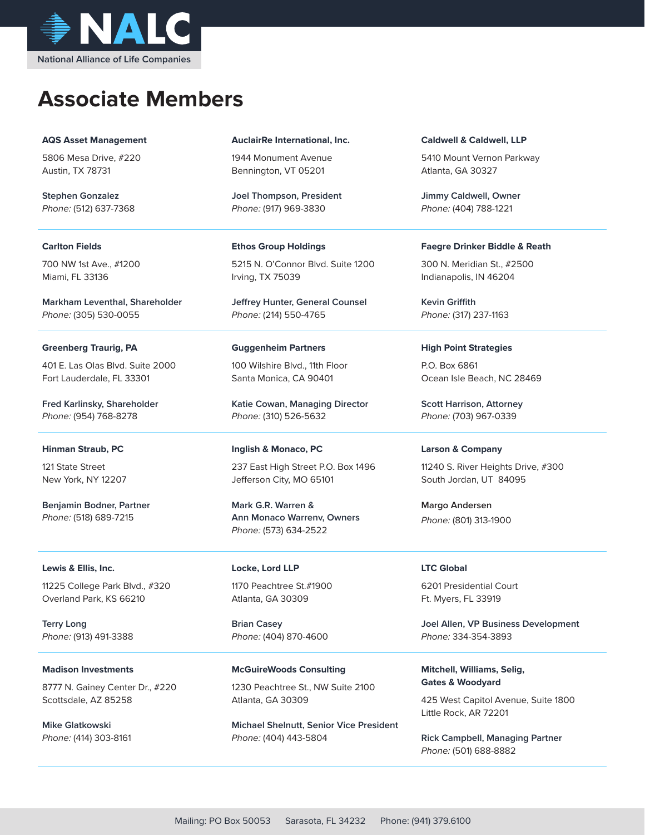

# **Associate Members**

#### **AQS Asset Management**

5806 Mesa Drive, #220 Austin, TX 78731

**Stephen Gonzalez** Phone: (512) 637-7368

#### **Carlton Fields**

700 NW 1st Ave., #1200 Miami, FL 33136

**Markham Leventhal, Shareholder** Phone: (305) 530-0055

## **Greenberg Traurig, PA**

401 E. Las Olas Blvd. Suite 2000 Fort Lauderdale, FL 33301

**Fred Karlinsky, Shareholder** Phone: (954) 768-8278

## **Hinman Straub, PC**

121 State Street New York, NY 12207

**Benjamin Bodner, Partner** Phone: (518) 689-7215

## **Lewis & Ellis, Inc.**

11225 College Park Blvd., #320 Overland Park, KS 66210

**Terry Long** Phone: (913) 491-3388

## **Madison Investments**

8777 N. Gainey Center Dr., #220 Scottsdale, AZ 85258

**Mike Glatkowski** Phone: (414) 303-8161

#### **AuclairRe International, Inc.**

1944 Monument Avenue Bennington, VT 05201

**Joel Thompson, President** Phone: (917) 969-3830

## **Ethos Group Holdings**

5215 N. O'Connor Blvd. Suite 1200 Irving, TX 75039

**Jeffrey Hunter, General Counsel** Phone: (214) 550-4765

#### **Guggenheim Partners**

100 Wilshire Blvd., 11th Floor Santa Monica, CA 90401

**Katie Cowan, Managing Director**  Phone: (310) 526-5632

## **Inglish & Monaco, PC**

237 East High Street P.O. Box 1496 Jefferson City, MO 65101

**Mark G.R. Warren & Ann Monaco Warrenv, Owners** Phone: (573) 634-2522

#### **Locke, Lord LLP**

1170 Peachtree St.#1900 Atlanta, GA 30309

**Brian Casey** Phone: (404) 870-4600

**McGuireWoods Consulting** 1230 Peachtree St., NW Suite 2100 Atlanta, GA 30309

**Michael Shelnutt, Senior Vice President** Phone: (404) 443-5804

#### **Caldwell & Caldwell, LLP**

5410 Mount Vernon Parkway Atlanta, GA 30327

**Jimmy Caldwell, Owner** Phone: (404) 788-1221

#### **Faegre Drinker Biddle & Reath**

300 N. Meridian St., #2500 Indianapolis, IN 46204

**Kevin Griffith** Phone: (317) 237-1163

## **High Point Strategies**

P.O. Box 6861 Ocean Isle Beach, NC 28469

**Scott Harrison, Attorney** Phone: (703) 967-0339

## **Larson & Company**

11240 S. River Heights Drive, #300 South Jordan, UT 84095

**Margo Andersen** Phone: (801) 313-1900

#### **LTC Global**

6201 Presidential Court Ft. Myers, FL 33919

**Joel Allen, VP Business Development** Phone: 334-354-3893

**Mitchell, Williams, Selig, Gates & Woodyard**

425 West Capitol Avenue, Suite 1800 Little Rock, AR 72201

**Rick Campbell, Managing Partner** Phone: (501) 688-8882